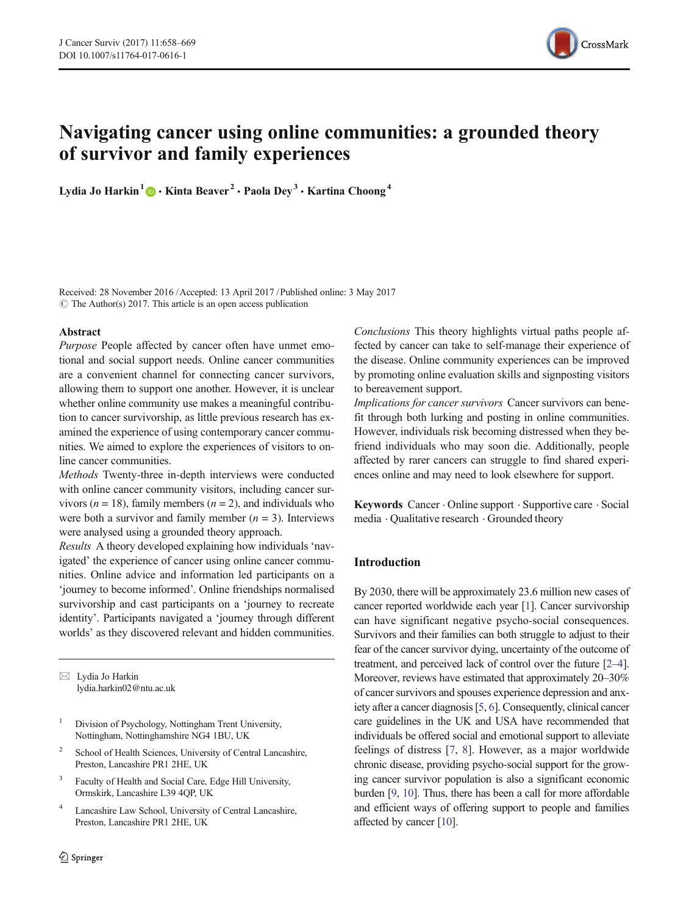

## Navigating cancer using online communities: a grounded theory of survivor and family experiences

Lydia Jo Harkin<sup>1</sup>  $\bullet \cdot$  Kinta Beaver<sup>2</sup>  $\cdot$  Paola Dev<sup>3</sup>  $\cdot$  Kartina Choong<sup>4</sup>

Received: 28 November 2016 /Accepted: 13 April 2017 /Published online: 3 May 2017  $\circ$  The Author(s) 2017. This article is an open access publication

#### Abstract

Purpose People affected by cancer often have unmet emotional and social support needs. Online cancer communities are a convenient channel for connecting cancer survivors, allowing them to support one another. However, it is unclear whether online community use makes a meaningful contribution to cancer survivorship, as little previous research has examined the experience of using contemporary cancer communities. We aimed to explore the experiences of visitors to online cancer communities.

Methods Twenty-three in-depth interviews were conducted with online cancer community visitors, including cancer survivors ( $n = 18$ ), family members ( $n = 2$ ), and individuals who were both a survivor and family member  $(n = 3)$ . Interviews were analysed using a grounded theory approach.

Results A theory developed explaining how individuals 'navigated' the experience of cancer using online cancer communities. Online advice and information led participants on a 'journey to become informed'. Online friendships normalised survivorship and cast participants on a 'journey to recreate identity'. Participants navigated a 'journey through different worlds' as they discovered relevant and hidden communities.

 $\boxtimes$  Lydia Jo Harkin lydia.harkin02@ntu.ac.uk

- <sup>1</sup> Division of Psychology, Nottingham Trent University, Nottingham, Nottinghamshire NG4 1BU, UK
- School of Health Sciences, University of Central Lancashire, Preston, Lancashire PR1 2HE, UK
- <sup>3</sup> Faculty of Health and Social Care, Edge Hill University, Ormskirk, Lancashire L39 4QP, UK
- <sup>4</sup> Lancashire Law School, University of Central Lancashire, Preston, Lancashire PR1 2HE, UK

Conclusions This theory highlights virtual paths people affected by cancer can take to self-manage their experience of the disease. Online community experiences can be improved by promoting online evaluation skills and signposting visitors to bereavement support.

Implications for cancer survivors Cancer survivors can benefit through both lurking and posting in online communities. However, individuals risk becoming distressed when they befriend individuals who may soon die. Additionally, people affected by rarer cancers can struggle to find shared experiences online and may need to look elsewhere for support.

Keywords Cancer . Online support . Supportive care . Social media . Qualitative research . Grounded theory

## Introduction

By 2030, there will be approximately 23.6 million new cases of cancer reported worldwide each year [\[1\]](#page-10-0). Cancer survivorship can have significant negative psycho-social consequences. Survivors and their families can both struggle to adjust to their fear of the cancer survivor dying, uncertainty of the outcome of treatment, and perceived lack of control over the future [\[2](#page-10-0)–[4\]](#page-10-0). Moreover, reviews have estimated that approximately 20–30% of cancer survivors and spouses experience depression and anxiety after a cancer diagnosis [[5,](#page-10-0) [6](#page-10-0)]. Consequently, clinical cancer care guidelines in the UK and USA have recommended that individuals be offered social and emotional support to alleviate feelings of distress [[7,](#page-10-0) [8\]](#page-10-0). However, as a major worldwide chronic disease, providing psycho-social support for the growing cancer survivor population is also a significant economic burden [\[9](#page-10-0), [10\]](#page-10-0). Thus, there has been a call for more affordable and efficient ways of offering support to people and families affected by cancer [\[10\]](#page-10-0).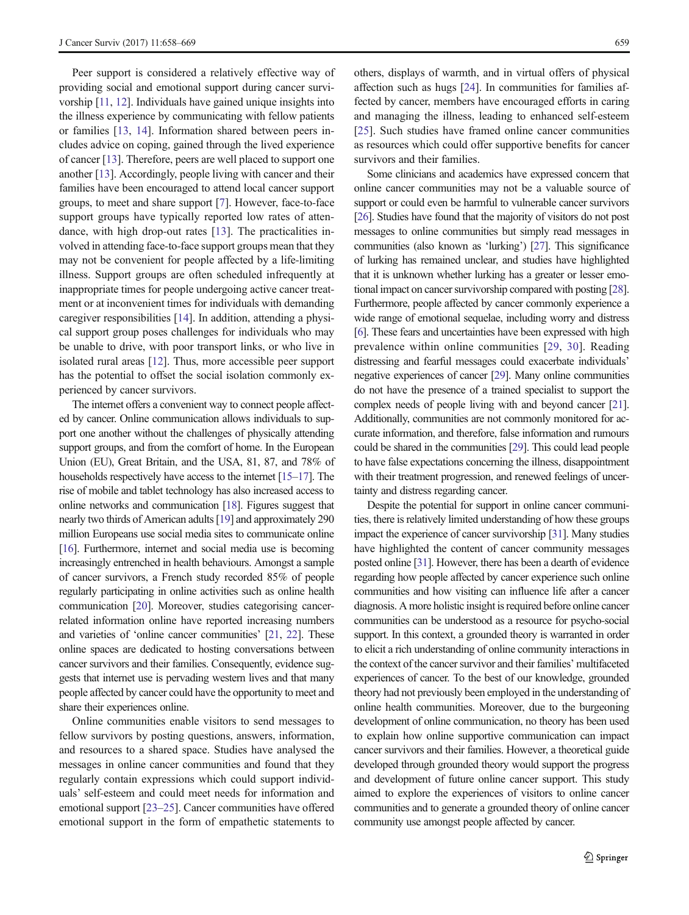Peer support is considered a relatively effective way of providing social and emotional support during cancer survivorship [[11](#page-10-0), [12\]](#page-10-0). Individuals have gained unique insights into the illness experience by communicating with fellow patients or families [\[13](#page-10-0), [14\]](#page-10-0). Information shared between peers includes advice on coping, gained through the lived experience of cancer [[13](#page-10-0)]. Therefore, peers are well placed to support one another [\[13](#page-10-0)]. Accordingly, people living with cancer and their families have been encouraged to attend local cancer support groups, to meet and share support [[7\]](#page-10-0). However, face-to-face support groups have typically reported low rates of attendance, with high drop-out rates [\[13](#page-10-0)]. The practicalities involved in attending face-to-face support groups mean that they may not be convenient for people affected by a life-limiting illness. Support groups are often scheduled infrequently at inappropriate times for people undergoing active cancer treatment or at inconvenient times for individuals with demanding caregiver responsibilities [\[14](#page-10-0)]. In addition, attending a physical support group poses challenges for individuals who may be unable to drive, with poor transport links, or who live in isolated rural areas [\[12](#page-10-0)]. Thus, more accessible peer support has the potential to offset the social isolation commonly experienced by cancer survivors.

The internet offers a convenient way to connect people affected by cancer. Online communication allows individuals to support one another without the challenges of physically attending support groups, and from the comfort of home. In the European Union (EU), Great Britain, and the USA, 81, 87, and 78% of households respectively have access to the internet [\[15](#page-10-0)–[17\]](#page-10-0). The rise of mobile and tablet technology has also increased access to online networks and communication [\[18\]](#page-10-0). Figures suggest that nearly two thirds of American adults [[19](#page-10-0)] and approximately 290 million Europeans use social media sites to communicate online [\[16](#page-10-0)]. Furthermore, internet and social media use is becoming increasingly entrenched in health behaviours. Amongst a sample of cancer survivors, a French study recorded 85% of people regularly participating in online activities such as online health communication [[20](#page-10-0)]. Moreover, studies categorising cancerrelated information online have reported increasing numbers and varieties of 'online cancer communities' [\[21,](#page-10-0) [22](#page-10-0)]. These online spaces are dedicated to hosting conversations between cancer survivors and their families. Consequently, evidence suggests that internet use is pervading western lives and that many people affected by cancer could have the opportunity to meet and share their experiences online.

Online communities enable visitors to send messages to fellow survivors by posting questions, answers, information, and resources to a shared space. Studies have analysed the messages in online cancer communities and found that they regularly contain expressions which could support individuals' self-esteem and could meet needs for information and emotional support [\[23](#page-10-0)–[25\]](#page-10-0). Cancer communities have offered emotional support in the form of empathetic statements to others, displays of warmth, and in virtual offers of physical affection such as hugs [\[24\]](#page-10-0). In communities for families affected by cancer, members have encouraged efforts in caring and managing the illness, leading to enhanced self-esteem [\[25](#page-10-0)]. Such studies have framed online cancer communities as resources which could offer supportive benefits for cancer survivors and their families.

Some clinicians and academics have expressed concern that online cancer communities may not be a valuable source of support or could even be harmful to vulnerable cancer survivors [\[26](#page-10-0)]. Studies have found that the majority of visitors do not post messages to online communities but simply read messages in communities (also known as 'lurking') [[27\]](#page-10-0). This significance of lurking has remained unclear, and studies have highlighted that it is unknown whether lurking has a greater or lesser emotional impact on cancer survivorship compared with posting [\[28\]](#page-10-0). Furthermore, people affected by cancer commonly experience a wide range of emotional sequelae, including worry and distress [\[6\]](#page-10-0). These fears and uncertainties have been expressed with high prevalence within online communities [\[29,](#page-10-0) [30](#page-10-0)]. Reading distressing and fearful messages could exacerbate individuals' negative experiences of cancer [\[29\]](#page-10-0). Many online communities do not have the presence of a trained specialist to support the complex needs of people living with and beyond cancer [\[21\]](#page-10-0). Additionally, communities are not commonly monitored for accurate information, and therefore, false information and rumours could be shared in the communities [\[29](#page-10-0)]. This could lead people to have false expectations concerning the illness, disappointment with their treatment progression, and renewed feelings of uncertainty and distress regarding cancer.

Despite the potential for support in online cancer communities, there is relatively limited understanding of how these groups impact the experience of cancer survivorship [\[31\]](#page-10-0). Many studies have highlighted the content of cancer community messages posted online [[31\]](#page-10-0). However, there has been a dearth of evidence regarding how people affected by cancer experience such online communities and how visiting can influence life after a cancer diagnosis. A more holistic insight is required before online cancer communities can be understood as a resource for psycho-social support. In this context, a grounded theory is warranted in order to elicit a rich understanding of online community interactions in the context of the cancer survivor and their families' multifaceted experiences of cancer. To the best of our knowledge, grounded theory had not previously been employed in the understanding of online health communities. Moreover, due to the burgeoning development of online communication, no theory has been used to explain how online supportive communication can impact cancer survivors and their families. However, a theoretical guide developed through grounded theory would support the progress and development of future online cancer support. This study aimed to explore the experiences of visitors to online cancer communities and to generate a grounded theory of online cancer community use amongst people affected by cancer.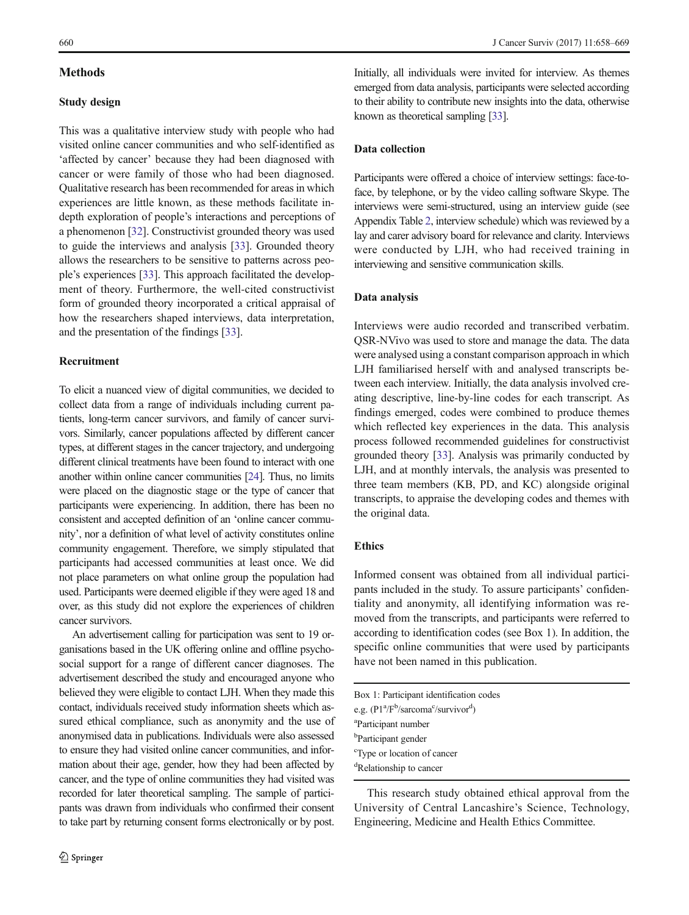#### **Methods**

## Study design

This was a qualitative interview study with people who had visited online cancer communities and who self-identified as 'affected by cancer' because they had been diagnosed with cancer or were family of those who had been diagnosed. Qualitative research has been recommended for areas in which experiences are little known, as these methods facilitate indepth exploration of people's interactions and perceptions of a phenomenon [[32](#page-10-0)]. Constructivist grounded theory was used to guide the interviews and analysis [[33](#page-10-0)]. Grounded theory allows the researchers to be sensitive to patterns across people's experiences [\[33](#page-10-0)]. This approach facilitated the development of theory. Furthermore, the well-cited constructivist form of grounded theory incorporated a critical appraisal of how the researchers shaped interviews, data interpretation, and the presentation of the findings [[33](#page-10-0)].

#### Recruitment

To elicit a nuanced view of digital communities, we decided to collect data from a range of individuals including current patients, long-term cancer survivors, and family of cancer survivors. Similarly, cancer populations affected by different cancer types, at different stages in the cancer trajectory, and undergoing different clinical treatments have been found to interact with one another within online cancer communities [[24\]](#page-10-0). Thus, no limits were placed on the diagnostic stage or the type of cancer that participants were experiencing. In addition, there has been no consistent and accepted definition of an 'online cancer community', nor a definition of what level of activity constitutes online community engagement. Therefore, we simply stipulated that participants had accessed communities at least once. We did not place parameters on what online group the population had used. Participants were deemed eligible if they were aged 18 and over, as this study did not explore the experiences of children cancer survivors.

An advertisement calling for participation was sent to 19 organisations based in the UK offering online and offline psychosocial support for a range of different cancer diagnoses. The advertisement described the study and encouraged anyone who believed they were eligible to contact LJH. When they made this contact, individuals received study information sheets which assured ethical compliance, such as anonymity and the use of anonymised data in publications. Individuals were also assessed to ensure they had visited online cancer communities, and information about their age, gender, how they had been affected by cancer, and the type of online communities they had visited was recorded for later theoretical sampling. The sample of participants was drawn from individuals who confirmed their consent to take part by returning consent forms electronically or by post.

Initially, all individuals were invited for interview. As themes emerged from data analysis, participants were selected according to their ability to contribute new insights into the data, otherwise known as theoretical sampling [\[33\]](#page-10-0).

#### Data collection

Participants were offered a choice of interview settings: face-toface, by telephone, or by the video calling software Skype. The interviews were semi-structured, using an interview guide (see Appendix Table [2](#page-10-0), interview schedule) which was reviewed by a lay and carer advisory board for relevance and clarity. Interviews were conducted by LJH, who had received training in interviewing and sensitive communication skills.

#### Data analysis

Interviews were audio recorded and transcribed verbatim. QSR-NVivo was used to store and manage the data. The data were analysed using a constant comparison approach in which LJH familiarised herself with and analysed transcripts between each interview. Initially, the data analysis involved creating descriptive, line-by-line codes for each transcript. As findings emerged, codes were combined to produce themes which reflected key experiences in the data. This analysis process followed recommended guidelines for constructivist grounded theory [[33](#page-10-0)]. Analysis was primarily conducted by LJH, and at monthly intervals, the analysis was presented to three team members (KB, PD, and KC) alongside original transcripts, to appraise the developing codes and themes with the original data.

#### **Ethics**

Informed consent was obtained from all individual participants included in the study. To assure participants' confidentiality and anonymity, all identifying information was removed from the transcripts, and participants were referred to according to identification codes (see Box 1). In addition, the specific online communities that were used by participants have not been named in this publication.

| Box 1: Participant identification codes              |
|------------------------------------------------------|
| e.g. $(P1^a/F^b\text{/sarcoma}^c\text{/survivor}^d)$ |
| <sup>a</sup> Participant number                      |
| <sup>b</sup> Participant gender                      |
| <sup>c</sup> Type or location of cancer              |
| <sup>d</sup> Relationship to cancer                  |

This research study obtained ethical approval from the University of Central Lancashire's Science, Technology, Engineering, Medicine and Health Ethics Committee.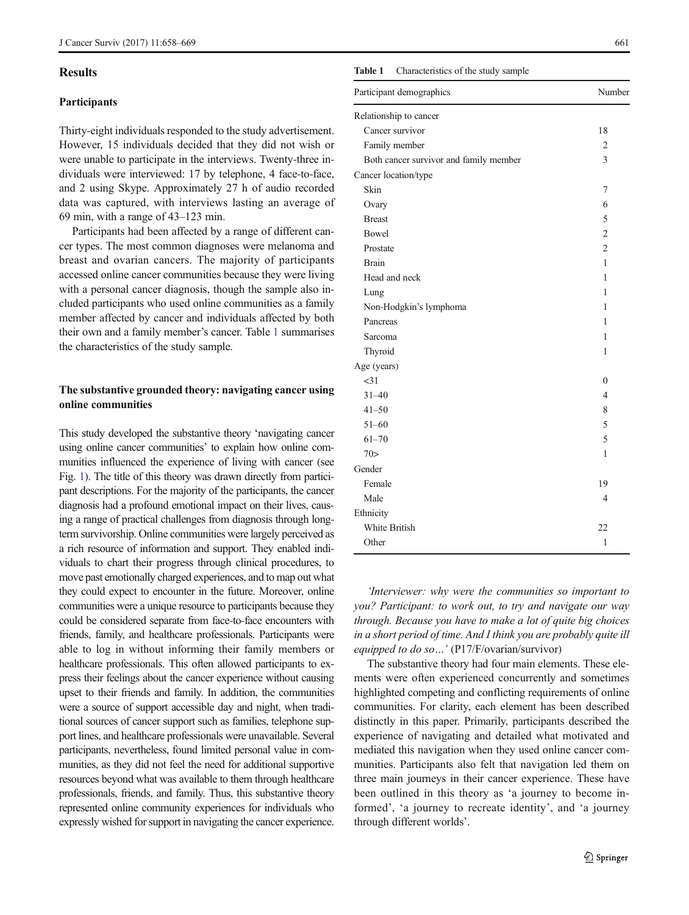#### Results

### Participants

Thirty-eight individuals responded to the study advertisement. However, 15 individuals decided that they did not wish or were unable to participate in the interviews. Twenty-three individuals were interviewed: 17 by telephone, 4 face-to-face, and 2 using Skype. Approximately 27 h of audio recorded data was captured, with interviews lasting an average of 69 min, with a range of 43–123 min.

Participants had been affected by a range of different cancer types. The most common diagnoses were melanoma and breast and ovarian cancers. The majority of participants accessed online cancer communities because they were living with a personal cancer diagnosis, though the sample also included participants who used online communities as a family member affected by cancer and individuals affected by both their own and a family member's cancer. Table 1 summarises the characteristics of the study sample.

## The substantive grounded theory: navigating cancer using online communities

This study developed the substantive theory 'navigating cancer using online cancer communities' to explain how online communities influenced the experience of living with cancer (see Fig. [1](#page-4-0)). The title of this theory was drawn directly from participant descriptions. For the majority of the participants, the cancer diagnosis had a profound emotional impact on their lives, causing a range of practical challenges from diagnosis through longterm survivorship. Online communities were largely perceived as a rich resource of information and support. They enabled individuals to chart their progress through clinical procedures, to move past emotionally charged experiences, and to map out what they could expect to encounter in the future. Moreover, online communities were a unique resource to participants because they could be considered separate from face-to-face encounters with friends, family, and healthcare professionals. Participants were able to log in without informing their family members or healthcare professionals. This often allowed participants to express their feelings about the cancer experience without causing upset to their friends and family. In addition, the communities were a source of support accessible day and night, when traditional sources of cancer support such as families, telephone support lines, and healthcare professionals were unavailable. Several participants, nevertheless, found limited personal value in communities, as they did not feel the need for additional supportive resources beyond what was available to them through healthcare professionals, friends, and family. Thus, this substantive theory represented online community experiences for individuals who expressly wished for support in navigating the cancer experience.

#### Table 1 Characteristics of the study sample

| Participant demographics               | Number         |
|----------------------------------------|----------------|
| Relationship to cancer                 |                |
| Cancer survivor                        | 18             |
| Family member                          | $\overline{2}$ |
| Both cancer survivor and family member | 3              |
| Cancer location/type                   |                |
| Skin                                   | 7              |
| Ovary                                  | 6              |
| <b>Breast</b>                          | 5              |
| Bowel                                  | $\overline{c}$ |
| Prostate                               | $\overline{c}$ |
| <b>Brain</b>                           | 1              |
| Head and neck                          | 1              |
| Lung                                   | 1              |
| Non-Hodgkin's lymphoma                 | 1              |
| Pancreas                               | 1              |
| Sarcoma                                | 1              |
| Thyroid                                | 1              |
| Age (years)                            |                |
| $<$ 31                                 | $\theta$       |
| $31 - 40$                              | 4              |
| $41 - 50$                              | 8              |
| $51 - 60$                              | 5              |
| $61 - 70$                              | 5              |
| 70>                                    | 1              |
| Gender                                 |                |
| Female                                 | 19             |
| Male                                   | 4              |
| Ethnicity                              |                |
| White British                          | 22             |
| Other                                  | 1              |
|                                        |                |

'Interviewer: why were the communities so important to you? Participant: to work out, to try and navigate our way through. Because you have to make a lot of quite big choices in a short period of time. And I think you are probably quite ill equipped to do so…' (P17/F/ovarian/survivor)

The substantive theory had four main elements. These elements were often experienced concurrently and sometimes highlighted competing and conflicting requirements of online communities. For clarity, each element has been described distinctly in this paper. Primarily, participants described the experience of navigating and detailed what motivated and mediated this navigation when they used online cancer communities. Participants also felt that navigation led them on three main journeys in their cancer experience. These have been outlined in this theory as 'a journey to become informed', 'a journey to recreate identity', and 'a journey through different worlds'.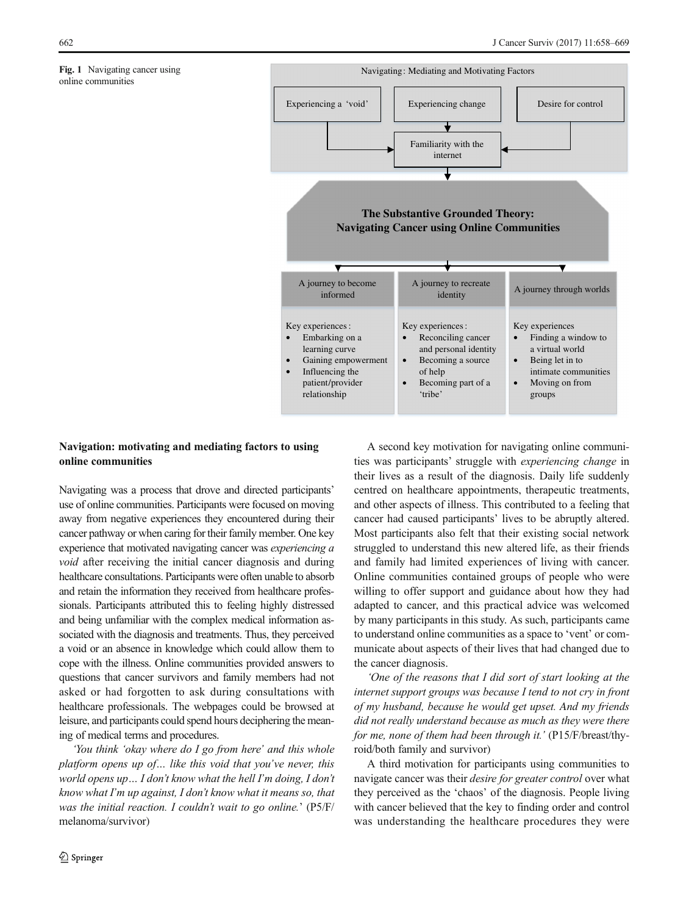# online communities

<span id="page-4-0"></span>

## Navigation: motivating and mediating factors to using online communities

Navigating was a process that drove and directed participants' use of online communities. Participants were focused on moving away from negative experiences they encountered during their cancer pathway or when caring for their family member. One key experience that motivated navigating cancer was experiencing a void after receiving the initial cancer diagnosis and during healthcare consultations. Participants were often unable to absorb and retain the information they received from healthcare professionals. Participants attributed this to feeling highly distressed and being unfamiliar with the complex medical information associated with the diagnosis and treatments. Thus, they perceived a void or an absence in knowledge which could allow them to cope with the illness. Online communities provided answers to questions that cancer survivors and family members had not asked or had forgotten to ask during consultations with healthcare professionals. The webpages could be browsed at leisure, and participants could spend hours deciphering the meaning of medical terms and procedures.

'You think 'okay where do I go from here' and this whole platform opens up of… like this void that you've never, this world opens up… I don't know what the hell I'm doing, I don't know what I'm up against, I don't know what it means so, that was the initial reaction. I couldn't wait to go online.' (P5/F/ melanoma/survivor)

ties was participants' struggle with experiencing change in their lives as a result of the diagnosis. Daily life suddenly centred on healthcare appointments, therapeutic treatments, and other aspects of illness. This contributed to a feeling that cancer had caused participants' lives to be abruptly altered. Most participants also felt that their existing social network struggled to understand this new altered life, as their friends and family had limited experiences of living with cancer. Online communities contained groups of people who were willing to offer support and guidance about how they had adapted to cancer, and this practical advice was welcomed by many participants in this study. As such, participants came to understand online communities as a space to 'vent' or communicate about aspects of their lives that had changed due to the cancer diagnosis.

A second key motivation for navigating online communi-

'One of the reasons that I did sort of start looking at the internet support groups was because I tend to not cry in front of my husband, because he would get upset. And my friends did not really understand because as much as they were there for me, none of them had been through it.' (P15/F/breast/thyroid/both family and survivor)

A third motivation for participants using communities to navigate cancer was their desire for greater control over what they perceived as the 'chaos' of the diagnosis. People living with cancer believed that the key to finding order and control was understanding the healthcare procedures they were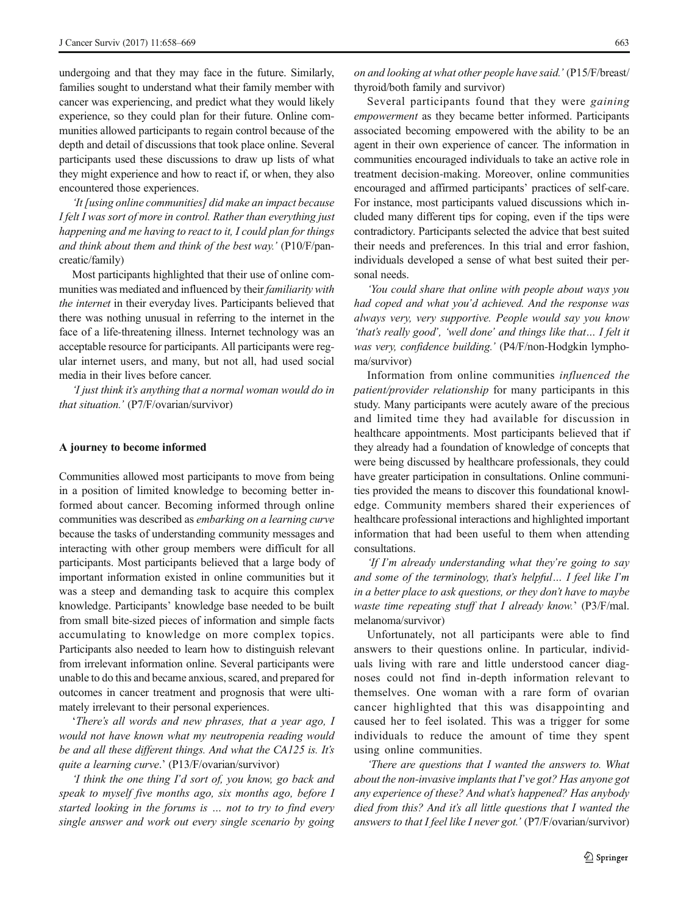undergoing and that they may face in the future. Similarly, families sought to understand what their family member with cancer was experiencing, and predict what they would likely experience, so they could plan for their future. Online communities allowed participants to regain control because of the depth and detail of discussions that took place online. Several participants used these discussions to draw up lists of what they might experience and how to react if, or when, they also encountered those experiences.

'It [using online communities] did make an impact because I felt I was sort of more in control. Rather than everything just happening and me having to react to it, I could plan for things and think about them and think of the best way.' (P10/F/pancreatic/family)

Most participants highlighted that their use of online communities was mediated and influenced by their familiarity with the internet in their everyday lives. Participants believed that there was nothing unusual in referring to the internet in the face of a life-threatening illness. Internet technology was an acceptable resource for participants. All participants were regular internet users, and many, but not all, had used social media in their lives before cancer.

'I just think it's anything that a normal woman would do in that situation.' (P7/F/ovarian/survivor)

#### A journey to become informed

Communities allowed most participants to move from being in a position of limited knowledge to becoming better informed about cancer. Becoming informed through online communities was described as embarking on a learning curve because the tasks of understanding community messages and interacting with other group members were difficult for all participants. Most participants believed that a large body of important information existed in online communities but it was a steep and demanding task to acquire this complex knowledge. Participants' knowledge base needed to be built from small bite-sized pieces of information and simple facts accumulating to knowledge on more complex topics. Participants also needed to learn how to distinguish relevant from irrelevant information online. Several participants were unable to do this and became anxious, scared, and prepared for outcomes in cancer treatment and prognosis that were ultimately irrelevant to their personal experiences.

'There's all words and new phrases, that a year ago, I would not have known what my neutropenia reading would be and all these different things. And what the CA125 is. It's quite a learning curve.' (P13/F/ovarian/survivor)

'I think the one thing I'd sort of, you know, go back and speak to myself five months ago, six months ago, before I started looking in the forums is … not to try to find every single answer and work out every single scenario by going on and looking at what other people have said.' (P15/F/breast/ thyroid/both family and survivor)

Several participants found that they were gaining empowerment as they became better informed. Participants associated becoming empowered with the ability to be an agent in their own experience of cancer. The information in communities encouraged individuals to take an active role in treatment decision-making. Moreover, online communities encouraged and affirmed participants' practices of self-care. For instance, most participants valued discussions which included many different tips for coping, even if the tips were contradictory. Participants selected the advice that best suited their needs and preferences. In this trial and error fashion, individuals developed a sense of what best suited their personal needs.

'You could share that online with people about ways you had coped and what you'd achieved. And the response was always very, very supportive. People would say you know 'that's really good', 'well done' and things like that… I felt it was very, confidence building.' (P4/F/non-Hodgkin lymphoma/survivor)

Information from online communities influenced the patient/provider relationship for many participants in this study. Many participants were acutely aware of the precious and limited time they had available for discussion in healthcare appointments. Most participants believed that if they already had a foundation of knowledge of concepts that were being discussed by healthcare professionals, they could have greater participation in consultations. Online communities provided the means to discover this foundational knowledge. Community members shared their experiences of healthcare professional interactions and highlighted important information that had been useful to them when attending consultations.

'If I'm already understanding what they're going to say and some of the terminology, that's helpful… I feel like I'm in a better place to ask questions, or they don't have to maybe waste time repeating stuff that I already know.' (P3/F/mal. melanoma/survivor)

Unfortunately, not all participants were able to find answers to their questions online. In particular, individuals living with rare and little understood cancer diagnoses could not find in-depth information relevant to themselves. One woman with a rare form of ovarian cancer highlighted that this was disappointing and caused her to feel isolated. This was a trigger for some individuals to reduce the amount of time they spent using online communities.

'There are questions that I wanted the answers to. What about the non-invasive implants that I've got? Has anyone got any experience of these? And what's happened? Has anybody died from this? And it's all little questions that I wanted the answers to that I feel like I never got.' (P7/F/ovarian/survivor)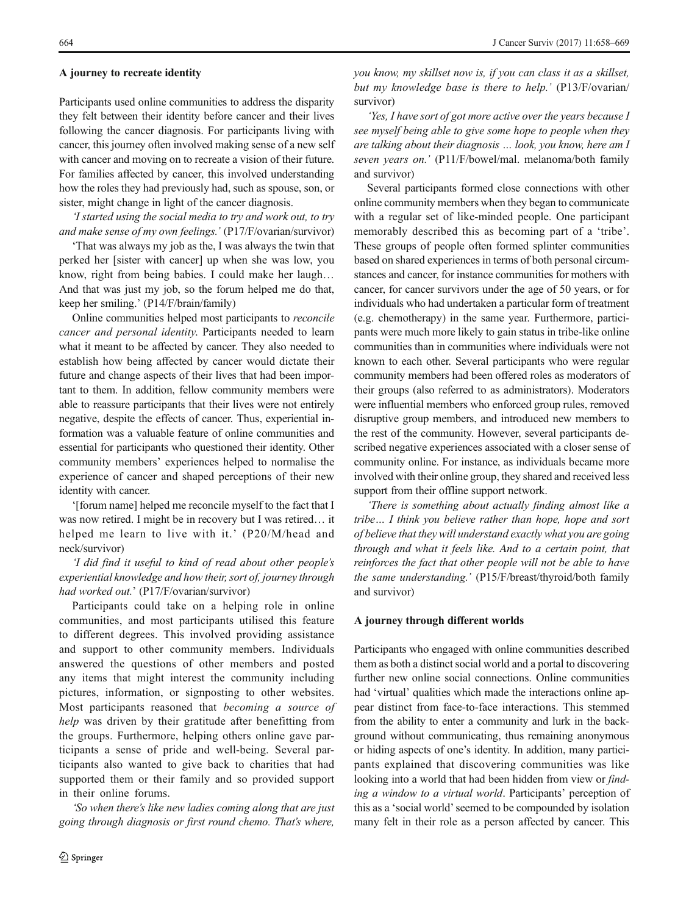#### A journey to recreate identity

Participants used online communities to address the disparity they felt between their identity before cancer and their lives following the cancer diagnosis. For participants living with cancer, this journey often involved making sense of a new self with cancer and moving on to recreate a vision of their future. For families affected by cancer, this involved understanding how the roles they had previously had, such as spouse, son, or sister, might change in light of the cancer diagnosis.

'I started using the social media to try and work out, to try and make sense of my own feelings.' (P17/F/ovarian/survivor)

'That was always my job as the, I was always the twin that perked her [sister with cancer] up when she was low, you know, right from being babies. I could make her laugh… And that was just my job, so the forum helped me do that, keep her smiling.' (P14/F/brain/family)

Online communities helped most participants to reconcile cancer and personal identity. Participants needed to learn what it meant to be affected by cancer. They also needed to establish how being affected by cancer would dictate their future and change aspects of their lives that had been important to them. In addition, fellow community members were able to reassure participants that their lives were not entirely negative, despite the effects of cancer. Thus, experiential information was a valuable feature of online communities and essential for participants who questioned their identity. Other community members' experiences helped to normalise the experience of cancer and shaped perceptions of their new identity with cancer.

'[forum name] helped me reconcile myself to the fact that I was now retired. I might be in recovery but I was retired… it helped me learn to live with it.' (P20/M/head and neck/survivor)

'I did find it useful to kind of read about other people's experiential knowledge and how their, sort of, journey through had worked out.' (P17/F/ovarian/survivor)

Participants could take on a helping role in online communities, and most participants utilised this feature to different degrees. This involved providing assistance and support to other community members. Individuals answered the questions of other members and posted any items that might interest the community including pictures, information, or signposting to other websites. Most participants reasoned that becoming a source of help was driven by their gratitude after benefitting from the groups. Furthermore, helping others online gave participants a sense of pride and well-being. Several participants also wanted to give back to charities that had supported them or their family and so provided support in their online forums.

'So when there's like new ladies coming along that are just going through diagnosis or first round chemo. That's where,

you know, my skillset now is, if you can class it as a skillset, but my knowledge base is there to help.' (P13/F/ovarian/ survivor)

'Yes, I have sort of got more active over the years because I see myself being able to give some hope to people when they are talking about their diagnosis … look, you know, here am I seven years on.' (P11/F/bowel/mal. melanoma/both family and survivor)

Several participants formed close connections with other online community members when they began to communicate with a regular set of like-minded people. One participant memorably described this as becoming part of a 'tribe'. These groups of people often formed splinter communities based on shared experiences in terms of both personal circumstances and cancer, for instance communities for mothers with cancer, for cancer survivors under the age of 50 years, or for individuals who had undertaken a particular form of treatment (e.g. chemotherapy) in the same year. Furthermore, participants were much more likely to gain status in tribe-like online communities than in communities where individuals were not known to each other. Several participants who were regular community members had been offered roles as moderators of their groups (also referred to as administrators). Moderators were influential members who enforced group rules, removed disruptive group members, and introduced new members to the rest of the community. However, several participants described negative experiences associated with a closer sense of community online. For instance, as individuals became more involved with their online group, they shared and received less support from their offline support network.

'There is something about actually finding almost like a tribe… I think you believe rather than hope, hope and sort of believe that they will understand exactly what you are going through and what it feels like. And to a certain point, that reinforces the fact that other people will not be able to have the same understanding.' (P15/F/breast/thyroid/both family and survivor)

#### A journey through different worlds

Participants who engaged with online communities described them as both a distinct social world and a portal to discovering further new online social connections. Online communities had 'virtual' qualities which made the interactions online appear distinct from face-to-face interactions. This stemmed from the ability to enter a community and lurk in the background without communicating, thus remaining anonymous or hiding aspects of one's identity. In addition, many participants explained that discovering communities was like looking into a world that had been hidden from view or finding a window to a virtual world. Participants' perception of this as a 'social world'seemed to be compounded by isolation many felt in their role as a person affected by cancer. This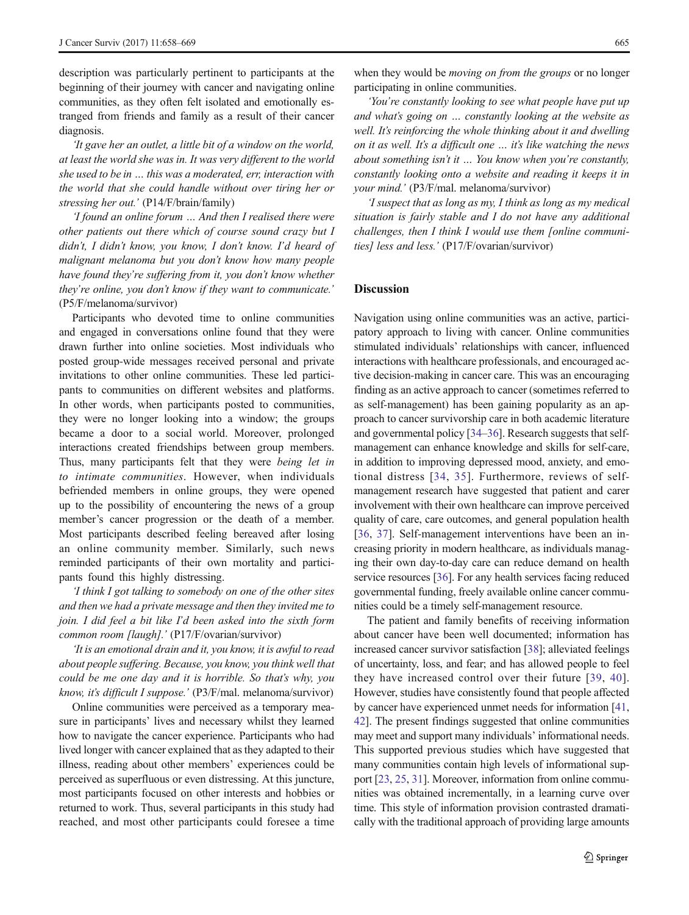description was particularly pertinent to participants at the beginning of their journey with cancer and navigating online communities, as they often felt isolated and emotionally estranged from friends and family as a result of their cancer diagnosis.

'It gave her an outlet, a little bit of a window on the world, at least the world she was in. It was very different to the world she used to be in … this was a moderated, err, interaction with the world that she could handle without over tiring her or stressing her out.' (P14/F/brain/family)

'I found an online forum … And then I realised there were other patients out there which of course sound crazy but I didn't, I didn't know, you know, I don't know. I'd heard of malignant melanoma but you don't know how many people have found they're suffering from it, you don't know whether they're online, you don't know if they want to communicate.' (P5/F/melanoma/survivor)

Participants who devoted time to online communities and engaged in conversations online found that they were drawn further into online societies. Most individuals who posted group-wide messages received personal and private invitations to other online communities. These led participants to communities on different websites and platforms. In other words, when participants posted to communities, they were no longer looking into a window; the groups became a door to a social world. Moreover, prolonged interactions created friendships between group members. Thus, many participants felt that they were *being let in* to intimate communities. However, when individuals befriended members in online groups, they were opened up to the possibility of encountering the news of a group member's cancer progression or the death of a member. Most participants described feeling bereaved after losing an online community member. Similarly, such news reminded participants of their own mortality and participants found this highly distressing.

'I think I got talking to somebody on one of the other sites and then we had a private message and then they invited me to join. I did feel a bit like I'd been asked into the sixth form common room [laugh].' (P17/F/ovarian/survivor)

'It is an emotional drain and it, you know, it is awful to read about people suffering. Because, you know, you think well that could be me one day and it is horrible. So that's why, you know, it's difficult I suppose.' (P3/F/mal. melanoma/survivor)

Online communities were perceived as a temporary measure in participants' lives and necessary whilst they learned how to navigate the cancer experience. Participants who had lived longer with cancer explained that as they adapted to their illness, reading about other members' experiences could be perceived as superfluous or even distressing. At this juncture, most participants focused on other interests and hobbies or returned to work. Thus, several participants in this study had reached, and most other participants could foresee a time

when they would be *moving on from the groups* or no longer participating in online communities.

'You're constantly looking to see what people have put up and what's going on … constantly looking at the website as well. It's reinforcing the whole thinking about it and dwelling on it as well. It's a difficult one … it's like watching the news about something isn't it … You know when you're constantly, constantly looking onto a website and reading it keeps it in your mind.' (P3/F/mal. melanoma/survivor)

'I suspect that as long as my, I think as long as my medical situation is fairly stable and I do not have any additional challenges, then I think I would use them [online communities] less and less.' (P17/F/ovarian/survivor)

#### Discussion

Navigation using online communities was an active, participatory approach to living with cancer. Online communities stimulated individuals' relationships with cancer, influenced interactions with healthcare professionals, and encouraged active decision-making in cancer care. This was an encouraging finding as an active approach to cancer (sometimes referred to as self-management) has been gaining popularity as an approach to cancer survivorship care in both academic literature and governmental policy [[34](#page-11-0)–[36](#page-11-0)]. Research suggests that selfmanagement can enhance knowledge and skills for self-care, in addition to improving depressed mood, anxiety, and emotional distress [[34](#page-11-0), [35\]](#page-11-0). Furthermore, reviews of selfmanagement research have suggested that patient and carer involvement with their own healthcare can improve perceived quality of care, care outcomes, and general population health [\[36](#page-11-0), [37\]](#page-11-0). Self-management interventions have been an increasing priority in modern healthcare, as individuals managing their own day-to-day care can reduce demand on health service resources [[36](#page-11-0)]. For any health services facing reduced governmental funding, freely available online cancer communities could be a timely self-management resource.

The patient and family benefits of receiving information about cancer have been well documented; information has increased cancer survivor satisfaction [\[38\]](#page-11-0); alleviated feelings of uncertainty, loss, and fear; and has allowed people to feel they have increased control over their future [[39,](#page-11-0) [40](#page-11-0)]. However, studies have consistently found that people affected by cancer have experienced unmet needs for information [\[41,](#page-11-0) [42\]](#page-11-0). The present findings suggested that online communities may meet and support many individuals' informational needs. This supported previous studies which have suggested that many communities contain high levels of informational support [\[23,](#page-10-0) [25](#page-10-0), [31\]](#page-10-0). Moreover, information from online communities was obtained incrementally, in a learning curve over time. This style of information provision contrasted dramatically with the traditional approach of providing large amounts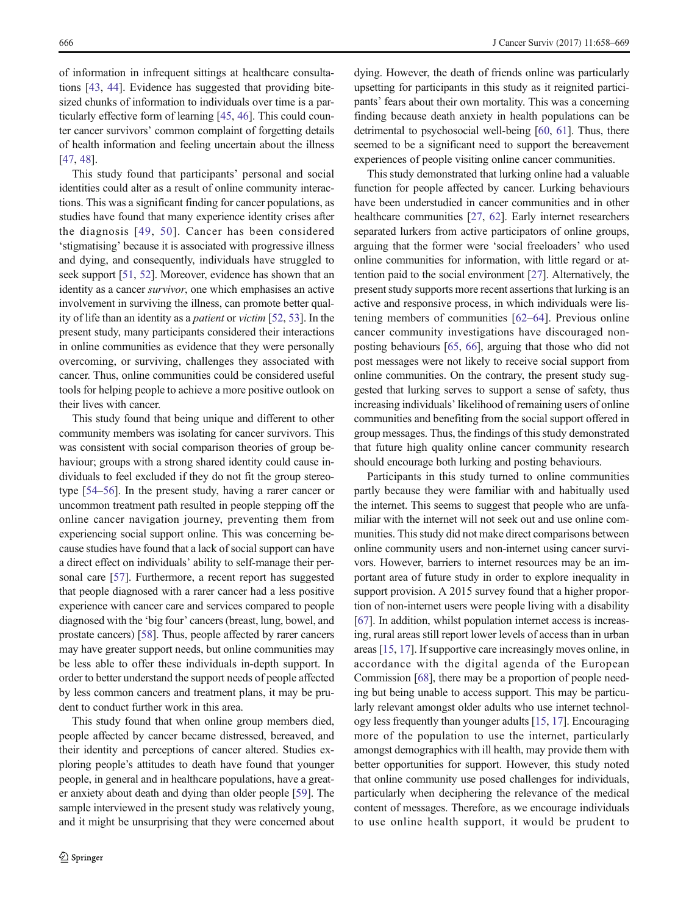of information in infrequent sittings at healthcare consultations [[43,](#page-11-0) [44\]](#page-11-0). Evidence has suggested that providing bitesized chunks of information to individuals over time is a particularly effective form of learning [\[45](#page-11-0), [46](#page-11-0)]. This could counter cancer survivors' common complaint of forgetting details of health information and feeling uncertain about the illness [\[47,](#page-11-0) [48\]](#page-11-0).

This study found that participants' personal and social identities could alter as a result of online community interactions. This was a significant finding for cancer populations, as studies have found that many experience identity crises after the diagnosis [[49](#page-11-0), [50\]](#page-11-0). Cancer has been considered 'stigmatising' because it is associated with progressive illness and dying, and consequently, individuals have struggled to seek support [[51,](#page-11-0) [52\]](#page-11-0). Moreover, evidence has shown that an identity as a cancer survivor, one which emphasises an active involvement in surviving the illness, can promote better quality of life than an identity as a patient or victim [\[52,](#page-11-0) [53](#page-11-0)]. In the present study, many participants considered their interactions in online communities as evidence that they were personally overcoming, or surviving, challenges they associated with cancer. Thus, online communities could be considered useful tools for helping people to achieve a more positive outlook on their lives with cancer.

This study found that being unique and different to other community members was isolating for cancer survivors. This was consistent with social comparison theories of group behaviour; groups with a strong shared identity could cause individuals to feel excluded if they do not fit the group stereotype [\[54](#page-11-0)–[56\]](#page-11-0). In the present study, having a rarer cancer or uncommon treatment path resulted in people stepping off the online cancer navigation journey, preventing them from experiencing social support online. This was concerning because studies have found that a lack of social support can have a direct effect on individuals' ability to self-manage their personal care [\[57\]](#page-11-0). Furthermore, a recent report has suggested that people diagnosed with a rarer cancer had a less positive experience with cancer care and services compared to people diagnosed with the 'big four' cancers (breast, lung, bowel, and prostate cancers) [\[58\]](#page-11-0). Thus, people affected by rarer cancers may have greater support needs, but online communities may be less able to offer these individuals in-depth support. In order to better understand the support needs of people affected by less common cancers and treatment plans, it may be prudent to conduct further work in this area.

This study found that when online group members died, people affected by cancer became distressed, bereaved, and their identity and perceptions of cancer altered. Studies exploring people's attitudes to death have found that younger people, in general and in healthcare populations, have a greater anxiety about death and dying than older people [[59\]](#page-11-0). The sample interviewed in the present study was relatively young, and it might be unsurprising that they were concerned about dying. However, the death of friends online was particularly upsetting for participants in this study as it reignited participants' fears about their own mortality. This was a concerning finding because death anxiety in health populations can be detrimental to psychosocial well-being [\[60](#page-11-0), [61\]](#page-11-0). Thus, there seemed to be a significant need to support the bereavement experiences of people visiting online cancer communities.

This study demonstrated that lurking online had a valuable function for people affected by cancer. Lurking behaviours have been understudied in cancer communities and in other healthcare communities [\[27](#page-10-0), [62](#page-11-0)]. Early internet researchers separated lurkers from active participators of online groups, arguing that the former were 'social freeloaders' who used online communities for information, with little regard or attention paid to the social environment [\[27](#page-10-0)]. Alternatively, the present study supports more recent assertions that lurking is an active and responsive process, in which individuals were listening members of communities [[62](#page-11-0)–[64\]](#page-11-0). Previous online cancer community investigations have discouraged nonposting behaviours [\[65,](#page-11-0) [66](#page-11-0)], arguing that those who did not post messages were not likely to receive social support from online communities. On the contrary, the present study suggested that lurking serves to support a sense of safety, thus increasing individuals' likelihood of remaining users of online communities and benefiting from the social support offered in group messages. Thus, the findings of this study demonstrated that future high quality online cancer community research should encourage both lurking and posting behaviours.

Participants in this study turned to online communities partly because they were familiar with and habitually used the internet. This seems to suggest that people who are unfamiliar with the internet will not seek out and use online communities. This study did not make direct comparisons between online community users and non-internet using cancer survivors. However, barriers to internet resources may be an important area of future study in order to explore inequality in support provision. A 2015 survey found that a higher proportion of non-internet users were people living with a disability [\[67](#page-11-0)]. In addition, whilst population internet access is increasing, rural areas still report lower levels of access than in urban areas [\[15,](#page-10-0) [17\]](#page-10-0). If supportive care increasingly moves online, in accordance with the digital agenda of the European Commission [\[68\]](#page-11-0), there may be a proportion of people needing but being unable to access support. This may be particularly relevant amongst older adults who use internet technology less frequently than younger adults [[15](#page-10-0), [17\]](#page-10-0). Encouraging more of the population to use the internet, particularly amongst demographics with ill health, may provide them with better opportunities for support. However, this study noted that online community use posed challenges for individuals, particularly when deciphering the relevance of the medical content of messages. Therefore, as we encourage individuals to use online health support, it would be prudent to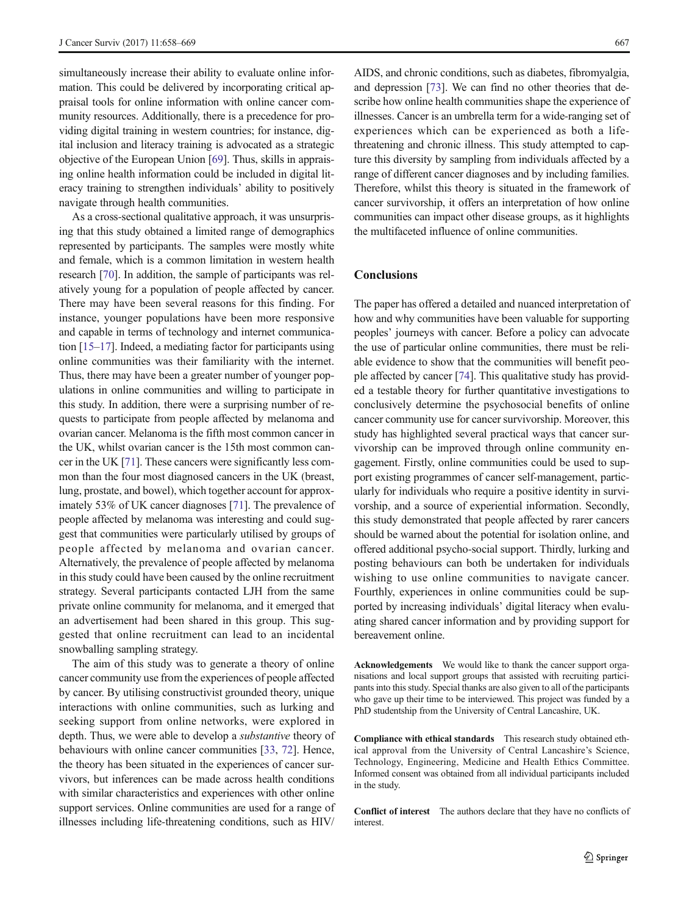simultaneously increase their ability to evaluate online information. This could be delivered by incorporating critical appraisal tools for online information with online cancer community resources. Additionally, there is a precedence for providing digital training in western countries; for instance, digital inclusion and literacy training is advocated as a strategic objective of the European Union [\[69](#page-11-0)]. Thus, skills in appraising online health information could be included in digital literacy training to strengthen individuals' ability to positively navigate through health communities.

As a cross-sectional qualitative approach, it was unsurprising that this study obtained a limited range of demographics represented by participants. The samples were mostly white and female, which is a common limitation in western health research [\[70\]](#page-11-0). In addition, the sample of participants was relatively young for a population of people affected by cancer. There may have been several reasons for this finding. For instance, younger populations have been more responsive and capable in terms of technology and internet communication [[15](#page-10-0)–[17\]](#page-10-0). Indeed, a mediating factor for participants using online communities was their familiarity with the internet. Thus, there may have been a greater number of younger populations in online communities and willing to participate in this study. In addition, there were a surprising number of requests to participate from people affected by melanoma and ovarian cancer. Melanoma is the fifth most common cancer in the UK, whilst ovarian cancer is the 15th most common cancer in the UK [[71\]](#page-11-0). These cancers were significantly less common than the four most diagnosed cancers in the UK (breast, lung, prostate, and bowel), which together account for approximately 53% of UK cancer diagnoses [\[71](#page-11-0)]. The prevalence of people affected by melanoma was interesting and could suggest that communities were particularly utilised by groups of people affected by melanoma and ovarian cancer. Alternatively, the prevalence of people affected by melanoma in this study could have been caused by the online recruitment strategy. Several participants contacted LJH from the same private online community for melanoma, and it emerged that an advertisement had been shared in this group. This suggested that online recruitment can lead to an incidental snowballing sampling strategy.

The aim of this study was to generate a theory of online cancer community use from the experiences of people affected by cancer. By utilising constructivist grounded theory, unique interactions with online communities, such as lurking and seeking support from online networks, were explored in depth. Thus, we were able to develop a *substantive* theory of behaviours with online cancer communities [\[33](#page-10-0), [72](#page-11-0)]. Hence, the theory has been situated in the experiences of cancer survivors, but inferences can be made across health conditions with similar characteristics and experiences with other online support services. Online communities are used for a range of illnesses including life-threatening conditions, such as HIV/

AIDS, and chronic conditions, such as diabetes, fibromyalgia, and depression [[73\]](#page-11-0). We can find no other theories that describe how online health communities shape the experience of illnesses. Cancer is an umbrella term for a wide-ranging set of experiences which can be experienced as both a lifethreatening and chronic illness. This study attempted to capture this diversity by sampling from individuals affected by a range of different cancer diagnoses and by including families. Therefore, whilst this theory is situated in the framework of cancer survivorship, it offers an interpretation of how online communities can impact other disease groups, as it highlights the multifaceted influence of online communities.

#### **Conclusions**

The paper has offered a detailed and nuanced interpretation of how and why communities have been valuable for supporting peoples' journeys with cancer. Before a policy can advocate the use of particular online communities, there must be reliable evidence to show that the communities will benefit people affected by cancer [[74](#page-11-0)]. This qualitative study has provided a testable theory for further quantitative investigations to conclusively determine the psychosocial benefits of online cancer community use for cancer survivorship. Moreover, this study has highlighted several practical ways that cancer survivorship can be improved through online community engagement. Firstly, online communities could be used to support existing programmes of cancer self-management, particularly for individuals who require a positive identity in survivorship, and a source of experiential information. Secondly, this study demonstrated that people affected by rarer cancers should be warned about the potential for isolation online, and offered additional psycho-social support. Thirdly, lurking and posting behaviours can both be undertaken for individuals wishing to use online communities to navigate cancer. Fourthly, experiences in online communities could be supported by increasing individuals' digital literacy when evaluating shared cancer information and by providing support for bereavement online.

Acknowledgements We would like to thank the cancer support organisations and local support groups that assisted with recruiting participants into this study. Special thanks are also given to all of the participants who gave up their time to be interviewed. This project was funded by a PhD studentship from the University of Central Lancashire, UK.

Compliance with ethical standards This research study obtained ethical approval from the University of Central Lancashire's Science, Technology, Engineering, Medicine and Health Ethics Committee. Informed consent was obtained from all individual participants included in the study.

Conflict of interest The authors declare that they have no conflicts of interest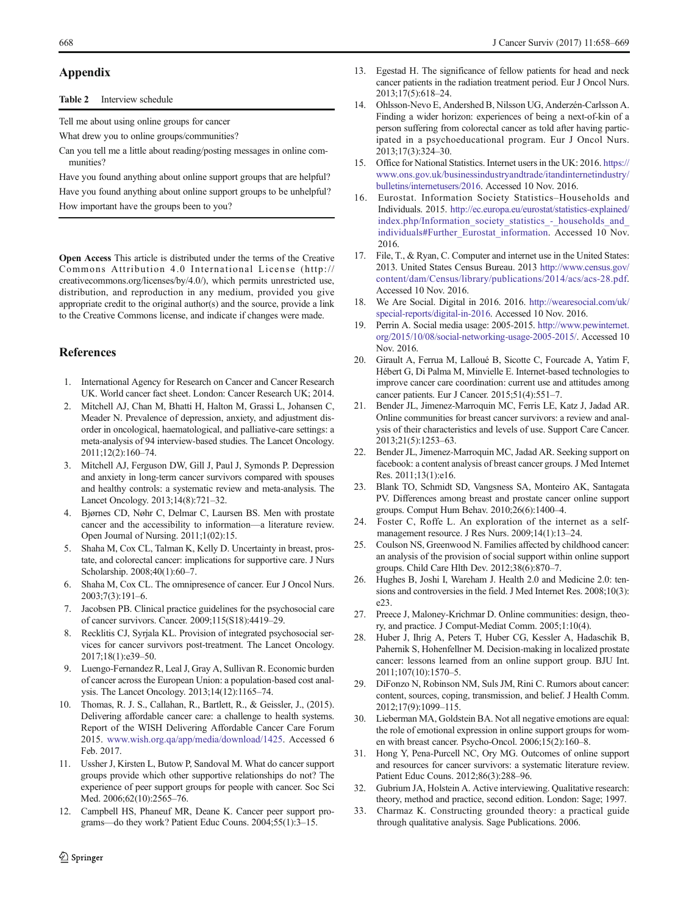#### <span id="page-10-0"></span>Appendix

Table 2 Interview schedule

Tell me about using online groups for cancer

What drew you to online groups/communities?

Can you tell me a little about reading/posting messages in online communities?

Have you found anything about online support groups that are helpful? Have you found anything about online support groups to be unhelpful? How important have the groups been to you?

Open Access This article is distributed under the terms of the Creative Commons Attribution 4.0 International License (http:// creativecommons.org/licenses/by/4.0/), which permits unrestricted use, distribution, and reproduction in any medium, provided you give appropriate credit to the original author(s) and the source, provide a link to the Creative Commons license, and indicate if changes were made.

#### References

- 1. International Agency for Research on Cancer and Cancer Research UK. World cancer fact sheet. London: Cancer Research UK; 2014.
- 2. Mitchell AJ, Chan M, Bhatti H, Halton M, Grassi L, Johansen C, Meader N. Prevalence of depression, anxiety, and adjustment disorder in oncological, haematological, and palliative-care settings: a meta-analysis of 94 interview-based studies. The Lancet Oncology. 2011;12(2):160–74.
- 3. Mitchell AJ, Ferguson DW, Gill J, Paul J, Symonds P. Depression and anxiety in long-term cancer survivors compared with spouses and healthy controls: a systematic review and meta-analysis. The Lancet Oncology. 2013;14(8):721–32.
- 4. Bjørnes CD, Nøhr C, Delmar C, Laursen BS. Men with prostate cancer and the accessibility to information—a literature review. Open Journal of Nursing. 2011;1(02):15.
- 5. Shaha M, Cox CL, Talman K, Kelly D. Uncertainty in breast, prostate, and colorectal cancer: implications for supportive care. J Nurs Scholarship. 2008;40(1):60–7.
- 6. Shaha M, Cox CL. The omnipresence of cancer. Eur J Oncol Nurs. 2003;7(3):191–6.
- 7. Jacobsen PB. Clinical practice guidelines for the psychosocial care of cancer survivors. Cancer. 2009;115(S18):4419–29.
- 8. Recklitis CJ, Syrjala KL. Provision of integrated psychosocial services for cancer survivors post-treatment. The Lancet Oncology. 2017;18(1):e39–50.
- 9. Luengo-Fernandez R, Leal J, Gray A, Sullivan R. Economic burden of cancer across the European Union: a population-based cost analysis. The Lancet Oncology. 2013;14(12):1165–74.
- 10. Thomas, R. J. S., Callahan, R., Bartlett, R., & Geissler, J., (2015). Delivering affordable cancer care: a challenge to health systems. Report of the WISH Delivering Affordable Cancer Care Forum 2015. [www.wish.org.qa/app/media/download/1425](http://www.wish.org.qa/app/media/download/1425). Accessed 6 Feb. 2017.
- 11. Ussher J, Kirsten L, Butow P, Sandoval M. What do cancer support groups provide which other supportive relationships do not? The experience of peer support groups for people with cancer. Soc Sci Med. 2006;62(10):2565–76.
- 12. Campbell HS, Phaneuf MR, Deane K. Cancer peer support programs—do they work? Patient Educ Couns. 2004;55(1):3–15.
- 13. Egestad H. The significance of fellow patients for head and neck cancer patients in the radiation treatment period. Eur J Oncol Nurs. 2013;17(5):618–24.
- 14. Ohlsson-Nevo E, Andershed B, Nilsson UG, Anderzén-Carlsson A. Finding a wider horizon: experiences of being a next-of-kin of a person suffering from colorectal cancer as told after having participated in a psychoeducational program. Eur J Oncol Nurs. 2013;17(3):324–30.
- 15. Office for National Statistics. Internet users in the UK: 2016. [https://](https://www.ons.gov.uk/businessindustryandtrade/itandinternetindustry/bulletins/internetusers/2016) [www.ons.gov.uk/businessindustryandtrade/itandinternetindustry/](https://www.ons.gov.uk/businessindustryandtrade/itandinternetindustry/bulletins/internetusers/2016) [bulletins/internetusers/2016.](https://www.ons.gov.uk/businessindustryandtrade/itandinternetindustry/bulletins/internetusers/2016) Accessed 10 Nov. 2016.
- 16. Eurostat. Information Society Statistics–Households and Individuals. 2015. [http://ec.europa.eu/eurostat/statistics-explained/](http://ec.europa.eu/eurostat/statistics-explained/index.php/Information_society_statistics_-_households_and_individuals%23Further_Eurostat_information) index.php/Information\_society\_statistics\_-\_households\_and [individuals#Further\\_Eurostat\\_information.](http://ec.europa.eu/eurostat/statistics-explained/index.php/Information_society_statistics_-_households_and_individuals%23Further_Eurostat_information) Accessed 10 Nov. 2016.
- 17. File, T., & Ryan, C. Computer and internet use in the United States: 2013. United States Census Bureau. 2013 [http://www.census.gov/](http://www.census.gov/content/dam/Census/library/publications/2014/acs/acs-28.pdf) [content/dam/Census/library/publications/2014/acs/acs-28.pdf](http://www.census.gov/content/dam/Census/library/publications/2014/acs/acs-28.pdf). Accessed 10 Nov. 2016.
- 18. We Are Social. Digital in 2016. 2016. [http://wearesocial.com/uk/](http://wearesocial.com/uk/special-reports/digital-in-2016) [special-reports/digital-in-2016.](http://wearesocial.com/uk/special-reports/digital-in-2016) Accessed 10 Nov. 2016.
- 19. Perrin A. Social media usage: 2005-2015. [http://www.pewinternet.](http://www.pewinternet.org/2015/10/08/social-networking-usage-2005-2015) [org/2015/10/08/social-networking-usage-2005-2015/.](http://www.pewinternet.org/2015/10/08/social-networking-usage-2005-2015) Accessed 10 Nov. 2016.
- 20. Girault A, Ferrua M, Lalloué B, Sicotte C, Fourcade A, Yatim F, Hébert G, Di Palma M, Minvielle E. Internet-based technologies to improve cancer care coordination: current use and attitudes among cancer patients. Eur J Cancer. 2015;51(4):551–7.
- 21. Bender JL, Jimenez-Marroquin MC, Ferris LE, Katz J, Jadad AR. Online communities for breast cancer survivors: a review and analysis of their characteristics and levels of use. Support Care Cancer. 2013;21(5):1253–63.
- 22. Bender JL, Jimenez-Marroquin MC, Jadad AR. Seeking support on facebook: a content analysis of breast cancer groups. J Med Internet Res. 2011;13(1):e16.
- 23. Blank TO, Schmidt SD, Vangsness SA, Monteiro AK, Santagata PV. Differences among breast and prostate cancer online support groups. Comput Hum Behav. 2010;26(6):1400–4.
- 24. Foster C, Roffe L. An exploration of the internet as a selfmanagement resource. J Res Nurs. 2009;14(1):13–24.
- 25. Coulson NS, Greenwood N. Families affected by childhood cancer: an analysis of the provision of social support within online support groups. Child Care Hlth Dev. 2012;38(6):870–7.
- 26. Hughes B, Joshi I, Wareham J. Health 2.0 and Medicine 2.0: tensions and controversies in the field. J Med Internet Res. 2008;10(3): e23.
- 27. Preece J, Maloney-Krichmar D. Online communities: design, theory, and practice. J Comput-Mediat Comm. 2005;1:10(4).
- 28. Huber J, Ihrig A, Peters T, Huber CG, Kessler A, Hadaschik B, Pahernik S, Hohenfellner M. Decision-making in localized prostate cancer: lessons learned from an online support group. BJU Int. 2011;107(10):1570–5.
- 29. DiFonzo N, Robinson NM, Suls JM, Rini C. Rumors about cancer: content, sources, coping, transmission, and belief. J Health Comm. 2012;17(9):1099–115.
- 30. Lieberman MA, Goldstein BA. Not all negative emotions are equal: the role of emotional expression in online support groups for women with breast cancer. Psycho-Oncol. 2006;15(2):160–8.
- 31. Hong Y, Pena-Purcell NC, Ory MG. Outcomes of online support and resources for cancer survivors: a systematic literature review. Patient Educ Couns. 2012;86(3):288–96.
- 32. Gubrium JA, Holstein A. Active interviewing. Qualitative research: theory, method and practice, second edition. London: Sage; 1997.
- 33. Charmaz K. Constructing grounded theory: a practical guide through qualitative analysis. Sage Publications. 2006.